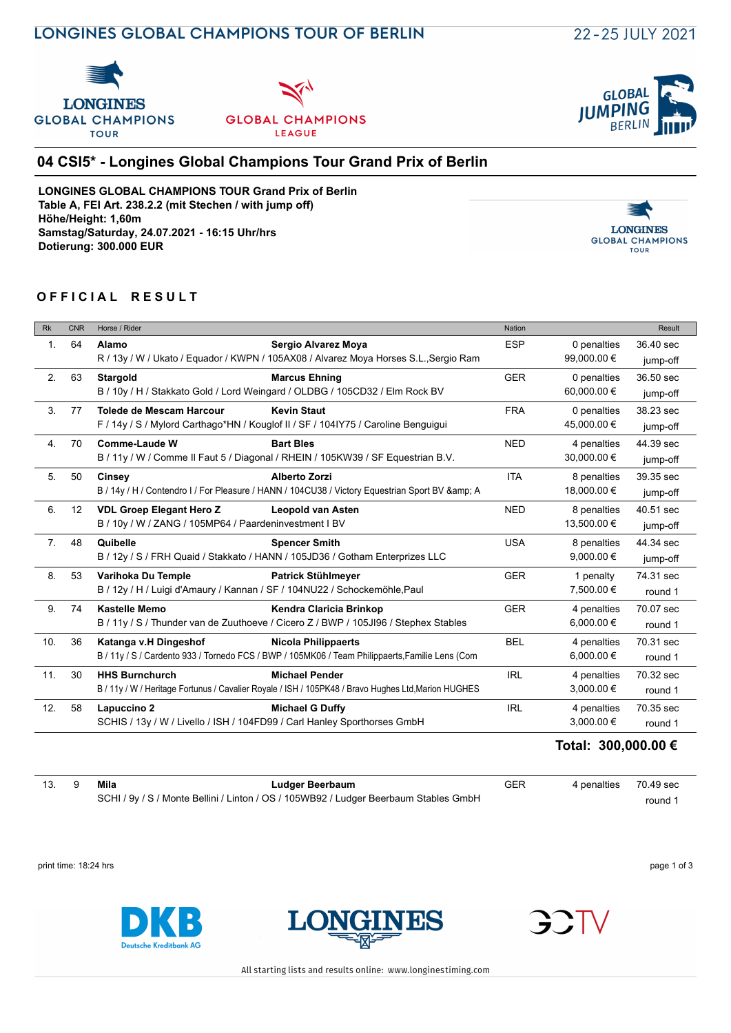





### **04 CSI5\* - Longines Global Champions Tour Grand Prix of Berlin**

**LONGINES GLOBAL CHAMPIONS TOUR Grand Prix of Berlin Table A, FEI Art. 238.2.2 (mit Stechen / with jump off) Höhe/Height: 1,60m Samstag/Saturday, 24.07.2021 - 16:15 Uhr/hrs Dotierung: 300.000 EUR**



#### **OFFICIAL RESULT**

| <b>Rk</b>        | <b>CNR</b> | Horse / Rider                                                                                                        |                                                                                                                               | <b>Nation</b> |                               | Result                |
|------------------|------------|----------------------------------------------------------------------------------------------------------------------|-------------------------------------------------------------------------------------------------------------------------------|---------------|-------------------------------|-----------------------|
| 1.               | 64         | Alamo                                                                                                                | Sergio Alvarez Moya<br>R / 13y / W / Ukato / Equador / KWPN / 105AX08 / Alvarez Moya Horses S.L., Sergio Ram                  | <b>ESP</b>    | 0 penalties<br>99,000.00 €    | 36.40 sec<br>jump-off |
| 2.               | 63         | <b>Stargold</b>                                                                                                      | <b>Marcus Ehning</b><br>B / 10y / H / Stakkato Gold / Lord Weingard / OLDBG / 105CD32 / Elm Rock BV                           | <b>GER</b>    | 0 penalties<br>60,000.00 €    | 36.50 sec<br>jump-off |
| 3.               | 77         | Tolede de Mescam Harcour                                                                                             | <b>Kevin Staut</b><br>F / 14y / S / Mylord Carthago*HN / Kouglof II / SF / 104IY75 / Caroline Benguigui                       | <b>FRA</b>    | 0 penalties<br>45,000.00 €    | 38.23 sec<br>jump-off |
| $\overline{4}$ . | 70         | Comme-Laude W                                                                                                        | <b>Bart Bles</b><br>B / 11y / W / Comme II Faut 5 / Diagonal / RHEIN / 105KW39 / SF Equestrian B.V.                           | <b>NED</b>    | 4 penalties<br>30,000.00 €    | 44.39 sec<br>jump-off |
| 5.               | 50         | Cinsey                                                                                                               | <b>Alberto Zorzi</b><br>B / 14y / H / Contendro I / For Pleasure / HANN / 104CU38 / Victory Equestrian Sport BV & amp; A      | <b>ITA</b>    | 8 penalties<br>18,000.00 €    | 39.35 sec<br>jump-off |
| 6.               | 12         | <b>VDL Groep Elegant Hero Z</b><br><b>Leopold van Asten</b><br>B / 10y / W / ZANG / 105MP64 / Paardeninvestment I BV |                                                                                                                               | <b>NED</b>    | 8 penalties<br>13,500.00 €    | 40.51 sec<br>jump-off |
| 7 <sub>1</sub>   | 48         | Quibelle                                                                                                             | <b>Spencer Smith</b><br>B / 12y / S / FRH Quaid / Stakkato / HANN / 105JD36 / Gotham Enterprizes LLC                          | <b>USA</b>    | 8 penalties<br>9,000.00 $\in$ | 44.34 sec<br>jump-off |
| 8.               | 53         | Varihoka Du Temple<br>B / 12y / H / Luigi d'Amaury / Kannan / SF / 104NU22 / Schockemöhle, Paul                      | <b>Patrick Stühlmeyer</b>                                                                                                     | <b>GER</b>    | 1 penalty<br>7,500.00 €       | 74.31 sec<br>round 1  |
| 9.               | 74         | <b>Kastelle Memo</b>                                                                                                 | Kendra Claricia Brinkop<br>B / 11y / S / Thunder van de Zuuthoeve / Cicero Z / BWP / 105JI96 / Stephex Stables                | <b>GER</b>    | 4 penalties<br>6,000.00 €     | 70.07 sec<br>round 1  |
| 10.              | 36         | Katanga v.H Dingeshof                                                                                                | <b>Nicola Philippaerts</b><br>B / 11y / S / Cardento 933 / Tornedo FCS / BWP / 105MK06 / Team Philippaerts, Familie Lens (Com | <b>BEL</b>    | 4 penalties<br>6,000.00 €     | 70.31 sec<br>round 1  |
| 11.              | 30         | <b>HHS Burnchurch</b>                                                                                                | <b>Michael Pender</b><br>B / 11y / W / Heritage Fortunus / Cavalier Royale / ISH / 105PK48 / Bravo Hughes Ltd, Marion HUGHES  | <b>IRL</b>    | 4 penalties<br>3,000.00 €     | 70.32 sec<br>round 1  |
| 12.              | 58         | Lapuccino 2<br>SCHIS / 13y / W / Livello / ISH / 104FD99 / Carl Hanley Sporthorses GmbH                              | <b>Michael G Duffy</b>                                                                                                        | <b>IRL</b>    | 4 penalties<br>3,000.00 €     | 70.35 sec<br>round 1  |

## **Total: 300,000.00 €**

|  | 13. 9 <b>Mila</b> | Ludger Beerbaum                                                                      | <b>GER</b> | 4 penalties 70.49 sec |         |
|--|-------------------|--------------------------------------------------------------------------------------|------------|-----------------------|---------|
|  |                   | SCHI / 9y / S / Monte Bellini / Linton / OS / 105WB92 / Ludger Beerbaum Stables GmbH |            |                       | round 1 |

print time: 18:24 hrs page 1 of 3





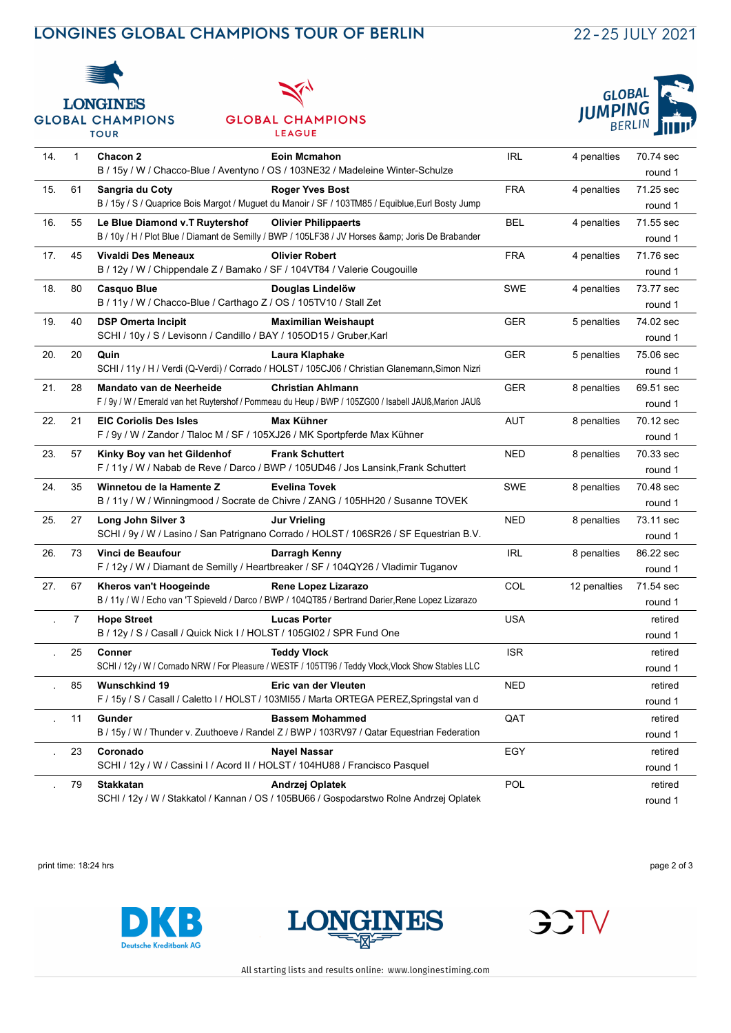## LONGINES GLOBAL CHAMPIONS TOUR OF BERLIN

# 22-25 JULY 2021



#### **GLOBAL CHAMPIONS** LEAGUE



|     |              | <b>TOUR</b>                                                                                                | <b>LEAGUE</b>                                                                                                                | $D$ $L$ $L$ $L$ $L$ $L$ $L$ |              | 21 I I I V           |
|-----|--------------|------------------------------------------------------------------------------------------------------------|------------------------------------------------------------------------------------------------------------------------------|-----------------------------|--------------|----------------------|
| 14. | $\mathbf{1}$ | Chacon 2                                                                                                   | <b>Eoin Mcmahon</b><br>B / 15y / W / Chacco-Blue / Aventyno / OS / 103NE32 / Madeleine Winter-Schulze                        | <b>IRL</b>                  | 4 penalties  | 70.74 sec<br>round 1 |
| 15. | 61           | Sangria du Coty                                                                                            | <b>Roger Yves Bost</b><br>B / 15y / S / Quaprice Bois Margot / Muguet du Manoir / SF / 103TM85 / Equiblue, Eurl Bosty Jump   | <b>FRA</b>                  | 4 penalties  | 71.25 sec<br>round 1 |
| 16. | 55           | Le Blue Diamond v.T Ruytershof                                                                             | <b>Olivier Philippaerts</b><br>B / 10y / H / Plot Blue / Diamant de Semilly / BWP / 105LF38 / JV Horses & Joris De Brabander | <b>BEL</b>                  | 4 penalties  | 71.55 sec<br>round 1 |
| 17. | 45           | Vivaldi Des Meneaux<br>B / 12y / W / Chippendale Z / Bamako / SF / 104VT84 / Valerie Cougouille            | <b>Olivier Robert</b>                                                                                                        | <b>FRA</b>                  | 4 penalties  | 71.76 sec<br>round 1 |
| 18. | 80           | Casquo Blue<br>B / 11y / W / Chacco-Blue / Carthago Z / OS / 105TV10 / Stall Zet                           | Douglas Lindelöw                                                                                                             | <b>SWE</b>                  | 4 penalties  | 73.77 sec<br>round 1 |
| 19. | 40           | <b>DSP Omerta Incipit</b><br>SCHI / 10y / S / Levisonn / Candillo / BAY / 1050D15 / Gruber, Karl           | <b>Maximilian Weishaupt</b>                                                                                                  | <b>GER</b>                  | 5 penalties  | 74.02 sec<br>round 1 |
| 20. | 20           | Quin                                                                                                       | Laura Klaphake<br>SCHI / 11y / H / Verdi (Q-Verdi) / Corrado / HOLST / 105CJ06 / Christian Glanemann, Simon Nizri            | <b>GER</b>                  | 5 penalties  | 75.06 sec<br>round 1 |
| 21. | 28           | Mandato van de Neerheide                                                                                   | Christian Ahlmann<br>F / 9y / W / Emerald van het Ruytershof / Pommeau du Heup / BWP / 105ZG00 / Isabell JAUß, Marion JAUß   | <b>GER</b>                  | 8 penalties  | 69.51 sec<br>round 1 |
| 22. | 21           | <b>EIC Coriolis Des Isles</b><br>F / 9y / W / Zandor / Tlaloc M / SF / 105XJ26 / MK Sportpferde Max Kühner | Max Kühner                                                                                                                   | <b>AUT</b>                  | 8 penalties  | 70.12 sec<br>round 1 |
| 23. | 57           | Kinky Boy van het Gildenhof                                                                                | <b>Frank Schuttert</b><br>F / 11y / W / Nabab de Reve / Darco / BWP / 105UD46 / Jos Lansink, Frank Schuttert                 | NED                         | 8 penalties  | 70.33 sec<br>round 1 |
| 24. | 35           | Winnetou de la Hamente Z                                                                                   | <b>Evelina Tovek</b><br>B / 11y / W / Winningmood / Socrate de Chivre / ZANG / 105HH20 / Susanne TOVEK                       | <b>SWE</b>                  | 8 penalties  | 70.48 sec<br>round 1 |
| 25. | 27           | Long John Silver 3                                                                                         | Jur Vrieling<br>SCHI / 9y / W / Lasino / San Patrignano Corrado / HOLST / 106SR26 / SF Equestrian B.V.                       | NED                         | 8 penalties  | 73.11 sec<br>round 1 |
| 26. | 73           | Vinci de Beaufour                                                                                          | Darragh Kenny<br>F / 12y / W / Diamant de Semilly / Heartbreaker / SF / 104QY26 / Vladimir Tuganov                           | <b>IRL</b>                  | 8 penalties  | 86.22 sec<br>round 1 |
| 27. | 67           | Kheros van't Hoogeinde                                                                                     | Rene Lopez Lizarazo<br>B / 11y / W / Echo van 'T Spieveld / Darco / BWP / 104QT85 / Bertrand Darier,Rene Lopez Lizarazo      | COL                         | 12 penalties | 71.54 sec<br>round 1 |
|     | 7            | <b>Hope Street</b><br>B / 12y / S / Casall / Quick Nick I / HOLST / 105GI02 / SPR Fund One                 | <b>Lucas Porter</b>                                                                                                          | <b>USA</b>                  |              | retired<br>round 1   |
|     | 25           | Conner                                                                                                     | <b>Teddy Vlock</b><br>SCHI / 12y / W / Cornado NRW / For Pleasure / WESTF / 105TT96 / Teddy Vlock, Vlock Show Stables LLC    | <b>ISR</b>                  |              | retired<br>round 1   |
|     | 85           | Wunschkind 19                                                                                              | Eric van der Vleuten<br>F / 15y / S / Casall / Caletto I / HOLST / 103MI55 / Marta ORTEGA PEREZ, Springstal van d            | <b>NED</b>                  |              | retired<br>round 1   |
|     | 11           | Gunder                                                                                                     | <b>Bassem Mohammed</b><br>B / 15y / W / Thunder v. Zuuthoeve / Randel Z / BWP / 103RV97 / Qatar Equestrian Federation        | QAT                         |              | retired<br>round 1   |
|     | 23           | Coronado<br>SCHI / 12y / W / Cassini I / Acord II / HOLST / 104HU88 / Francisco Pasquel                    | Nayel Nassar                                                                                                                 | EGY                         |              | retired<br>round 1   |
|     | 79           | Stakkatan                                                                                                  | Andrzej Oplatek<br>SCHI / 12y / W / Stakkatol / Kannan / OS / 105BU66 / Gospodarstwo Rolne Andrzej Oplatek                   | <b>POL</b>                  |              | retired<br>round 1   |

print time: 18:24 hrs page 2 of 3